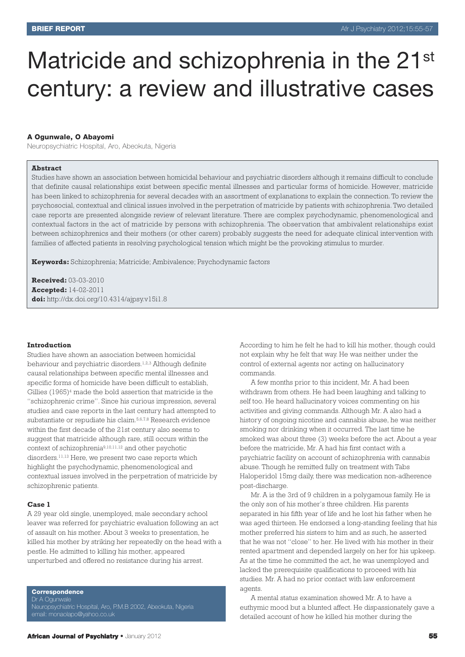# Matricide and schizophrenia in the 21<sup>st</sup> century: a review and illustrative cases

## **A Ogunwale, O Abayomi**

Neuropsychiatric Hospital, Aro, Abeokuta, Nigeria

## **Abstract**

Studies have shown an association between homicidal behaviour and psychiatric disorders although it remains difficult to conclude that definite causal relationships exist between specific mental illnesses and particular forms of homicide. However, matricide has been linked to schizophrenia for several decades with an assortment of explanations to explain the connection. To review the psychosocial, contextual and clinical issues involved in the perpetration of matricide by patients with schizophrenia. Two detailed case reports are presented alongside review of relevant literature. There are complex psychodynamic, phenomenological and contextual factors in the act of matricide by persons with schizophrenia. The observation that ambivalent relationships exist between schizophrenics and their mothers (or other carers) probably suggests the need for adequate clinical intervention with families of affected patients in resolving psychological tension which might be the provoking stimulus to murder.

**Keywords:** Schizophrenia; Matricide; Ambivalence; Psychodynamic factors

**Received:** 03-03-2010 **Accepted:** 14-02-2011 **doi:** http://dx.doi.org/10.4314/ajpsy.v15i1.8

## **Introduction**

Studies have shown an association between homicidal behaviour and psychiatric disorders. 1,2,3 Although definite causal relationships between specific mental illnesses and specific forms of homicide have been difficult to establish, Gillies (1965)4 made the bold assertion that matricide is the "schizophrenic crime". Since his curious impression, several studies and case reports in the last century had attempted to substantiate or repudiate his claim. 5,6,7,8 Research evidence within the first decade of the 21st century also seems to suggest that matricide although rare, still occurs within the context of schizophrenia9,10,11,12 and other psychotic disorders. 11,13 Here, we present two case reports which highlight the psychodynamic, phenomenological and contextual issues involved in the perpetration of matricide by schizophrenic patients.

#### **Case 1**

A 29 year old single, unemployed, male secondary school leaver was referred for psychiatric evaluation following an act of assault on his mother. About 3 weeks to presentation, he killed his mother by striking her repeatedly on the head with a pestle. He admitted to killing his mother, appeared unperturbed and offered no resistance during his arrest.

**Correspondence**

Neuropsychiatric Hospital, Aro, P.M.B 2002, Abeokuta, Nigeria email: monaolapo@yahoo.co.uk

According to him he felt he had to kill his mother, though could not explain why he felt that way. He was neither under the control of external agents nor acting on hallucinatory commands.

A few months prior to this incident, Mr. A had been withdrawn from others. He had been laughing and talking to self too. He heard hallucinatory voices commenting on his activities and giving commands. Although Mr. A also had a history of ongoing nicotine and cannabis abuse, he was neither smoking nor drinking when it occurred. The last time he smoked was about three (3) weeks before the act. About a year before the matricide, Mr. A had his first contact with a psychiatric facility on account of schizophrenia with cannabis abuse. Though he remitted fully on treatment with Tabs Haloperidol 15mg daily, there was medication non-adherence post-discharge.

Mr. A is the 3rd of 9 children in a polygamous family. He is the only son of his mother's three children. His parents separated in his fifth year of life and he lost his father when he was aged thirteen. He endorsed a long-standing feeling that his mother preferred his sisters to him and as such, he asserted that he was not "close" to her. He lived with his mother in their rented apartment and depended largely on her for his upkeep. As at the time he committed the act, he was unemployed and lacked the prerequisite qualifications to proceed with his studies. Mr. A had no prior contact with law enforcement agents

A mental status examination showed Mr. A to have a euthymic mood but a blunted affect. He dispassionately gave a detailed account of how he killed his mother during the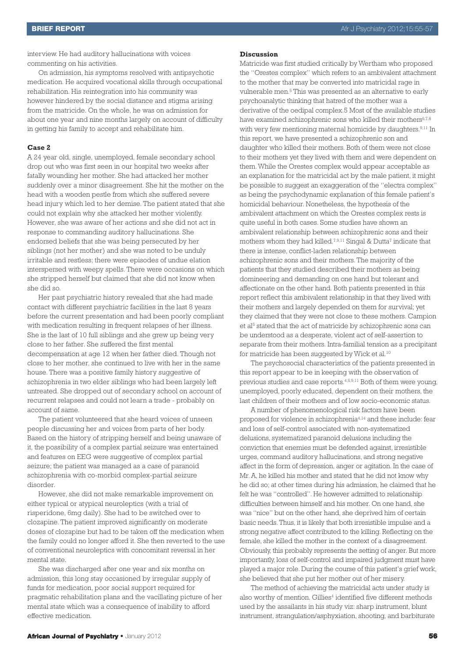interview. He had auditory hallucinations with voices commenting on his activities.

On admission, his symptoms resolved with antipsychotic medication. He acquired vocational skills through occupational rehabilitation. His reintegration into his community was however hindered by the social distance and stigma arising from the matricide. On the whole, he was on admission for about one year and nine months largely on account of difficulty in getting his family to accept and rehabilitate him.

## **Case 2**

A 24 year old, single, unemployed, female secondary school drop out who was first seen in our hospital two weeks after fatally wounding her mother. She had attacked her mother suddenly over a minor disagreement. She hit the mother on the head with a wooden pestle from which she suffered severe head injury which led to her demise. The patient stated that she could not explain why she attacked her mother violently. However, she was aware of her actions and she did not act in response to commanding auditory hallucinations. She endorsed beliefs that she was being persecuted by her siblings (not her mother) and she was noted to be unduly irritable and restless; there were episodes of undue elation interspersed with weepy spells. There were occasions on which she stripped herself but claimed that she did not know when she did so.

Her past psychiatric history revealed that she had made contact with different psychiatric facilities in the last 8 years before the current presentation and had been poorly compliant with medication resulting in frequent relapses of her illness. She is the last of 10 full siblings and she grew up being very close to her father. She suffered the first mental decompensation at age 12 when her father died. Though not close to her mother, she continued to live with her in the same house. There was a positive family history suggestive of schizophrenia in two elder siblings who had been largely left untreated. She dropped out of secondary school on account of recurrent relapses and could not learn a trade - probably on account of same.

The patient volunteered that she heard voices of unseen people discussing her and voices from parts of her body. Based on the history of stripping herself and being unaware of it, the possibility of a complex partial seizure was entertained and features on EEG were suggestive of complex partial seizure; the patient was managed as a case of paranoid schizophrenia with co-morbid complex-partial seizure disorder.

However, she did not make remarkable improvement on either typical or atypical neuroleptics (with a trial of risperidone, 6mg daily). She had to be switched over to clozapine. The patient improved significantly on moderate doses of clozapine but had to be taken off the medication when the family could no longer afford it. She then reverted to the use of conventional neuroleptics with concomitant reversal in her mental state.

She was discharged after one year and six months on admission, this long stay occasioned by irregular supply of funds for medication, poor social support required for pragmatic rehabilitation plans and the vacillating picture of her mental state which was a consequence of inability to afford effective medication.

Matricide was first studied critically by Wertham who proposed the "Orestes complex" which refers to an ambivalent attachment to the mother that may be converted into matricidal rage in vulnerable men. <sup>5</sup> This was presented as an alternative to early psychoanalytic thinking that hatred of the mother was a derivative of the oedipal complex.5 Most of the available studies have examined schizophrenic sons who killed their mothers<sup>6,7,8</sup> with very few mentioning maternal homicide by daughters. 9,11 In this report, we have presented a schizophrenic son and daughter who killed their mothers. Both of them were not close to their mothers yet they lived with them and were dependent on them.While the Orestes complex would appear acceptable as an explanation for the matricidal act by the male patient, it might be possible to suggest an exaggeration of the "electra complex" as being the psychodynamic explanation of this female patient's homicidal behaviour. Nonetheless, the hypothesis of the ambivalent attachment on which the Orestes complex rests is quite useful in both cases. Some studies have shown an ambivalent relationship between schizophrenic sons and their mothers whom they had killed. 7,9,11 Singal & Dutta7 indicate that there is intense, conflict-laden relationship between schizophrenic sons and their mothers. The majority of the patients that they studied described their mothers as being domineering and demanding on one hand but tolerant and affectionate on the other hand. Both patients presented in this report reflect this ambivalent relationship in that they lived with their mothers and largely depended on them for survival; yet they claimed that they were not close to these mothers. Campion et al <sup>5</sup> stated that the act of matricide by schizophrenic sons can be understood as a desperate, violent act of self-assertion to separate from their mothers. Intra-familial tension as a precipitant for matricide has been suggested by Wick et al.<sup>10</sup>

The psychosocial characteristics of the patients presented in this report appear to be in keeping with the observation of previous studies and case reports. 4,5,9,11 Both of them were young, unemployed, poorly educated, dependent on their mothers, the last children of their mothers and of low socio-economic status.

A number of phenomenological risk factors have been proposed for violence in schizophrenia4,14 and these include: fear and loss of self-control associated with non-systematized delusions, systematized paranoid delusions including the conviction that enemies must be defended against, irresistible urges, command auditory hallucinations, and strong negative affect in the form of depression, anger or agitation. In the case of Mr. A, he killed his mother and stated that he did not know why he did so; at other times during his admission, he claimed that he felt he was "controlled". He however admitted to relationship difficulties between himself and his mother. On one hand, she was "nice" but on the other hand, she deprived him of certain basic needs. Thus, it is likely that both irresistible impulse and a strong negative affect contributed to the killing. Reflecting on the female, she killed the mother in the context of a disagreement. Obviously, this probably represents the setting of anger. But more importantly, loss of self-control and impaired judgment must have played a major role. During the course of this patient's grief work, she believed that she put her mother out of her misery.

The method of achieving the matricidal acts under study is also worthy of mention. Gillies<sup>4</sup> identified five different methods used by the assailants in his study viz: sharp instrument, blunt instrument, strangulation/asphyxiation, shooting, and barbiturate